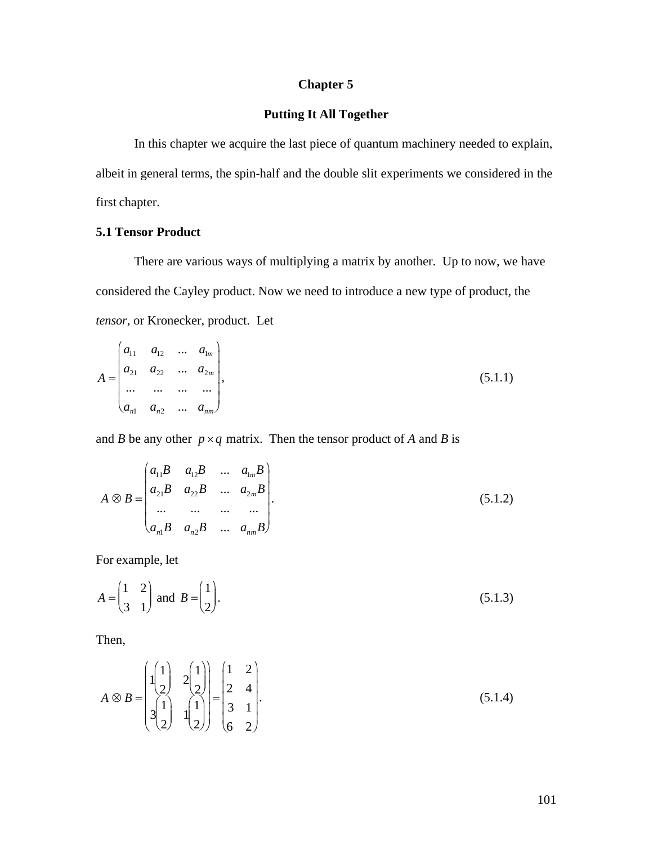## **Chapter 5**

## **Putting It All Together**

In this chapter we acquire the last piece of quantum machinery needed to explain, albeit in general terms, the spin-half and the double slit experiments we considered in the first chapter.

### **5.1 Tensor Product**

There are various ways of multiplying a matrix by another. Up to now, we have considered the Cayley product. Now we need to introduce a new type of product, the tensor, or Kronecker, product. Let

$$
A = \begin{pmatrix} a_{11} & a_{12} & \dots & a_{1m} \\ a_{21} & a_{22} & \dots & a_{2m} \\ \dots & \dots & \dots & \dots \\ a_{n1} & a_{n2} & \dots & a_{nn} \end{pmatrix},
$$
 (5.1.1)

and B be any other  $p \times q$  matrix. Then the tensor product of A and B is

$$
A \otimes B = \begin{pmatrix} a_{11}B & a_{12}B & \dots & a_{1m}B \\ a_{21}B & a_{22}B & \dots & a_{2m}B \\ \dots & \dots & \dots & \dots \\ a_{n1}B & a_{n2}B & \dots & a_{nm}B \end{pmatrix}.
$$
 (5.1.2)

For example, let

$$
A = \begin{pmatrix} 1 & 2 \\ 3 & 1 \end{pmatrix} \text{ and } B = \begin{pmatrix} 1 \\ 2 \end{pmatrix}.
$$
 (5.1.3)

Then,

$$
A \otimes B = \begin{pmatrix} 1 & 1 & 1 \\ 1 & 1 & 1 \\ 1 & 1 & 1 \\ 2 & 1 & 2 \end{pmatrix} = \begin{pmatrix} 1 & 2 \\ 2 & 4 \\ 3 & 1 \\ 6 & 2 \end{pmatrix}.
$$
 (5.1.4)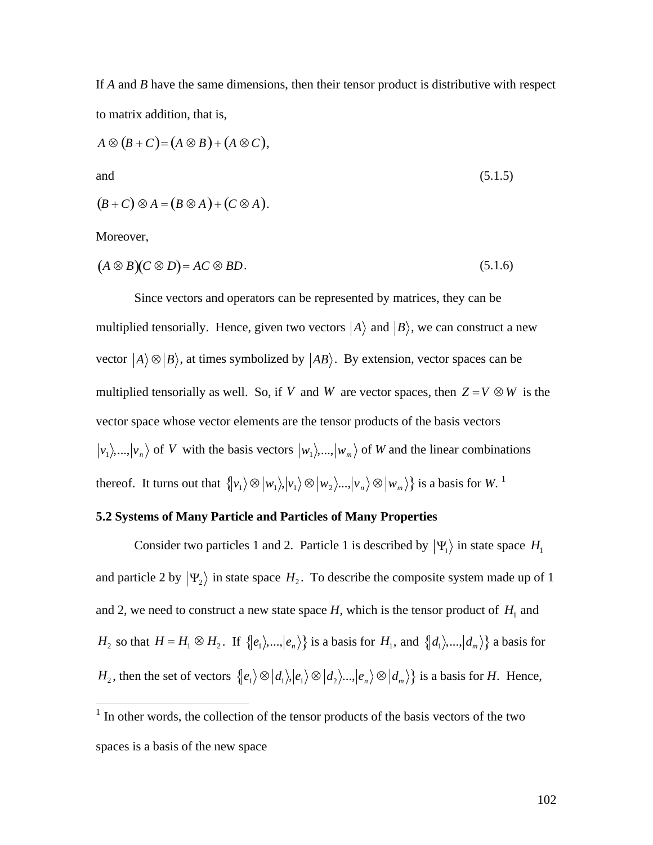If *A* and *B* have the same dimensions, then their tensor product is distributive with respect to matrix addition, that is,

$$
A \otimes (B + C) = (A \otimes B) + (A \otimes C),
$$
  
and  

$$
(B + C) \otimes A = (B \otimes A) + (C \otimes A).
$$
 (5.1.5)

Moreover,

$$
(A \otimes B)(C \otimes D) = AC \otimes BD. \tag{5.1.6}
$$

Since vectors and operators can be represented by matrices, they can be multiplied tensorially. Hence, given two vectors  $|A\rangle$  and  $|B\rangle$ , we can construct a new  $\overline{H}$ vector  $|A\rangle \otimes |B\rangle$ , at times symbolized by  $|AB\rangle$ . By extension, vector spaces can be vector space whose vector elements are the tensor products of the basis vectors multiplied tensorially as well. So, if V and W are vector spaces, then  $Z = V \otimes W$  is the  $v_1$ ,...,  $|v_n\rangle$  of *V* with the basis vectors  $|w_1\rangle$ ,...,  $|w_m\rangle$  of *W* and the linear combinations thereof. It turns out that  $\{v_1\} \otimes |w_1\rangle, |v_1\rangle \otimes |w_2\rangle, ..., |v_n\rangle \otimes |w_m\rangle\}$  is a basis for *W*.<sup>1</sup>

#### † **5.2 Systems of Many Particle and Particles of Many Properties**

Consider two particles 1 and 2. Particle 1 is described by  $|\Psi_1\rangle$  in state space  $H_1$  $\frac{1}{2}$ and particle 2 by  $|\Psi_2\rangle$  in state space  $H_2$ . To describe the composite system made up of 1  $H_2$  so that  $H = H_1 \otimes H_2$ . If  $\{ |e_1\rangle, ..., |e_n\rangle \}$  is a basis for  $H_1$ , and  $\{ |d_1\rangle, ..., |d_m\rangle \}$  a basis for and 2, we need to construct a new state space  $H$ , which is the tensor product of  $H_1$  and *H*<sub>2</sub>, then the set of vectors  $\{ |e_1\rangle \otimes |d_1\rangle, |e_1\rangle \otimes |d_2\rangle, ..., |e_n\rangle \otimes |d_m\rangle\}$  is a basis for *H*. Hence,

<sup>&</sup>lt;sup>1</sup> In other words, the collection of the tensor products of the basis vectors of the two spaces is a basis of the new space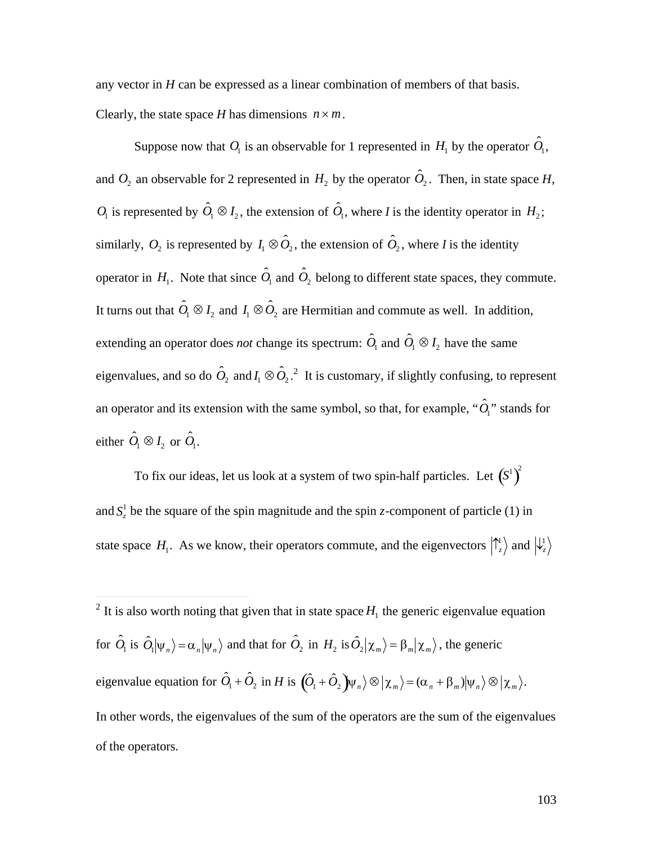any vector in *H* can be expressed as a linear combination of members of that basis. Clearly, the state space *H* has dimensions  $n \times m$ .

Suppose now that  $O_1$  is an observable for 1 represented in  $H_1$  by the operator  $\hat{O}_1$ , and  $O_2$  an observable for 2 represented in  $H_2$  by the operator  $\hat{O}_2$ . Then, in state space  $H$ ,  $O_1$  is represented by  $\hat{O}_1 \otimes I_2$ , the extension of  $\hat{O}_1$ , where *I* is the identity operator in  $H_2$ ; similarly,  $O_2$  is represented by  $I_1 \otimes \hat{O}_2$ , the extension of  $\hat{O}_2$ , where *I* is the identity operator in  $H_1$ . Note that since  $\hat{O}_1$  and  $\hat{O}_2$  belong to different state spaces, they commute. It turns out that  $\hat{O}_1 \otimes I_2$  and  $I_1 \otimes \hat{O}_2$  are Hermitian and commute as well. In addition, extending an operator does *not* change its spectrum:  $\hat{O}_1$  and  $\hat{O}_1 \otimes I_2$  have the same eigenvalues, and so do  $\hat{O}_2$  and  $I_1 \otimes \hat{O}_2$ .<sup>2</sup> It is customary, if slightly confusing, to represent an operator and its extension with the same symbol, so that, for example,  $\lq \hat{O}_i$ <sup>\*</sup> stands for either  $\hat{O}_1 \otimes I_2$  or  $\hat{O}_1$ .

To fix our ideas, let us look at a system of two spin-half particles. Let  $\left(S^{1}\right)^{2}$ and  $S^1_z$  be the square of the spin magnitude and the spin *z*-component of particle (1) in state space  $H_1$ . As we know, their operators commute, and the eigenvectors  $\begin{pmatrix} 1 \\ z \end{pmatrix}$  and  $\begin{pmatrix} 1 \\ z \end{pmatrix}$ 

 $\overline{a}$ 

 $\mathbf{r}$  $\dot{a}$ <sup>2</sup> It is also worth noting that given that in state space  $H_1$  the generic eigenvalue equation for  $\hat{O}_1$  is  $\hat{O}_1|\psi_n\rangle = \alpha_n|\psi_n\rangle$  and that for  $\hat{O}_2$  in  $H_2$  is  $\hat{O}_2|\chi_m\rangle = \beta_m|\chi_m\rangle$ , the generic  $\langle \hat{O}_1 + \hat{O}_2 \rangle$  in *H* is  $\langle \hat{O}_1 + \hat{O}_2 \rangle \psi_n \rangle \otimes |\chi_m \rangle = (\alpha_n + \beta_m) |\psi_n \rangle \otimes |\chi_m \rangle$ . In other words, the eigenvalues of the sum of the operators are the sum of the eigenvalues of the operators.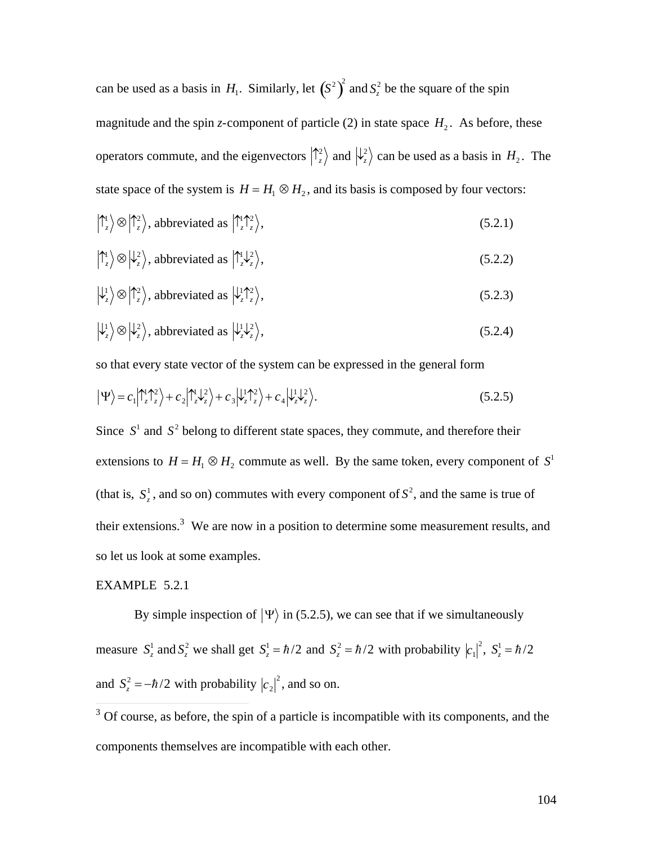can be used as a basis in  $H_1$ . Similarly, let  $(S^2)^2$  and  $S^2$  be the square of the spin  $\ket{+2}$ magnitude and the spin *z*-component of particle (2) in state space  $H_2$ . As before, these operators commute, and the eigenvectors  $\binom{2}{z}$  and  $\binom{2}{z}$  can be used as a basis in  $H_2$ . The state space of the system is  $H = H_1 \otimes H_2$ , and its basis is composed by four vectors:

$$
|\uparrow_z^1\rangle \otimes |\uparrow_z^2\rangle, \text{ abbreviated as } |\uparrow_z^1\uparrow_z^2\rangle, \tag{5.2.1}
$$

$$
\left| \uparrow_z^1 \right> \otimes \left| \downarrow_z^2 \right>, \text{ abbreviated as } \left| \uparrow_z^1 \downarrow_z^2 \right>, \tag{5.2.2}
$$

$$
\left|\downarrow_{z}^{1}\right\rangle \otimes \left|\uparrow_{z}^{2}\right\rangle, \text{ abbreviated as } \left|\downarrow_{z}^{1}\uparrow_{z}^{2}\right\rangle, \tag{5.2.3}
$$

$$
\left|\downarrow_{z}^{1}\right\rangle \otimes \left|\downarrow_{z}^{2}\right\rangle, abbreviated as \left|\downarrow_{z}^{1}\downarrow_{z}^{2}\right\rangle, \tag{5.2.4}
$$

so that every state vector of the system can be expressed in the general form

$$
\left|\Psi\right\rangle = c_1 \left|\tilde{\Gamma}_z^{\dagger} \tilde{\Gamma}_z^2\right\rangle + c_2 \left|\tilde{\Gamma}_z^{\dagger} \tilde{\Gamma}_z^2\right\rangle + c_3 \left|\tilde{\Gamma}_z^{\dagger} \tilde{\Gamma}_z^2\right\rangle + c_4 \left|\tilde{\Gamma}_z^{\dagger} \tilde{\Gamma}_z^2\right\rangle. \tag{5.2.5}
$$

Since  $S<sup>1</sup>$  and  $S<sup>2</sup>$  belong to different state spaces, they commute, and therefore their † † extensions to  $H = H_1 \otimes H_2$  commute as well. By the same token, every component of  $S^1$ (that is,  $S_z^1$ , and so on) commutes with every component of  $S^2$ , and the same is true of their extensions.<sup>3</sup> We are now in a position to determine some measurement results, and so let us look at some examples.

# † EXAMPLE 5.2.1

By simple inspection of  $|\Psi\rangle$  in (5.2.5), we can see that if we simultaneously measure  $S_z^1$  and  $S_z^2$  we shall get  $S_z^1 = \hbar/2$  and  $S_z^2 = \hbar/2$  with probability  $|c_1|^2$ ,  $S_z^1 = \hbar/2$ and  $S_z^2 = -\hbar/2$  with probability  $|c_2|^2$ , and so on.

 $\frac{1}{3}$  Of course, as before, the spin of a particle is incompatible with its components, and the  $\sim$ † components themselves are incompatible with each other.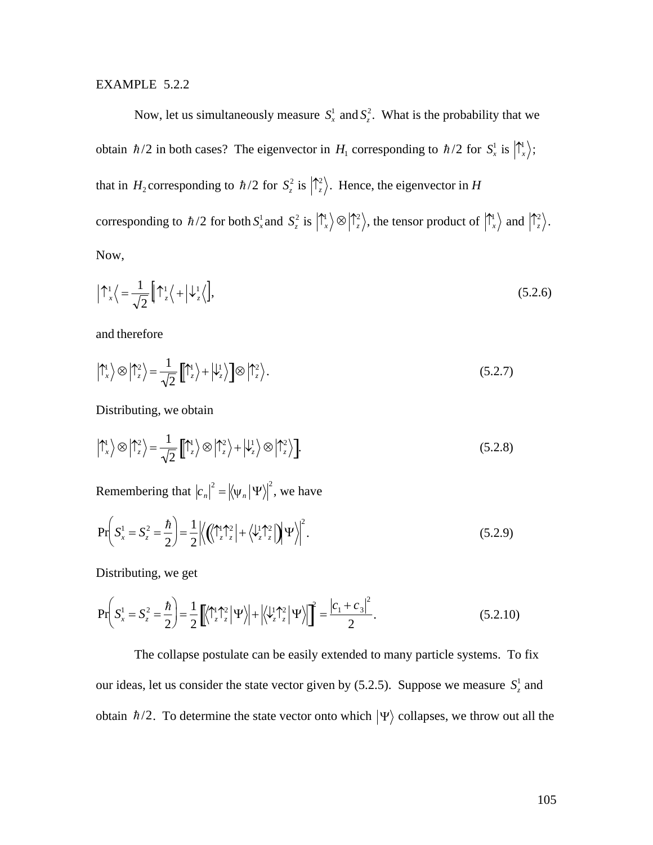#### EXAMPLE 5.2.2

Now, let us simultaneously measure  $S_x^1$  and  $S_z^2$ . What is the probability that we obtain  $\hbar/2$  in both cases? The eigenvector in  $H_1$  corresponding to  $\hbar/2$  for  $S_x^1$  is  $\left|\int_x^1\right\rangle$ ; that in  $H_2$  corresponding to  $\hbar/2$  for  $S_z^2$  is  $\left|\frac{\hbar^2}{\hbar}\right\rangle$ . Hence, the eigenvector in H corresponding to  $\hbar/2$  for both  $S_x^1$  and  $S_z^2$  is  $|\hat{\Gamma}_x\rangle \otimes |\hat{\Gamma}_z^2\rangle$ , the tensor product of  $|\hat{\Gamma}_x\rangle$  and  $|\hat{\Gamma}_z^2\rangle$ . Now,

$$
\left|\uparrow_{x}^{1}\right\rangle = \frac{1}{\sqrt{2}}\left[\uparrow_{z}^{1}\right\rangle + \left|\downarrow_{z}^{1}\right\rangle, \tag{5.2.6}
$$

and therefore

$$
\left|\uparrow_{x}^{1}\right\rangle \otimes \left|\uparrow_{z}^{2}\right\rangle = \frac{1}{\sqrt{2}}\left[\left|\uparrow_{z}\right\rangle + \left|\downarrow_{z}^{1}\right\rangle\right] \otimes \left|\uparrow_{z}^{2}\right\rangle. \tag{5.2.7}
$$

Distributing, we obtain

$$
\left|\uparrow_{x}^{1}\right\rangle \otimes \left|\uparrow_{z}^{2}\right\rangle = \frac{1}{\sqrt{2}}\left[\left|\uparrow_{z}\right\rangle \otimes \left|\uparrow_{z}^{2}\right\rangle + \left|\downarrow_{z}\right\rangle \otimes \left|\uparrow_{z}^{2}\right\rangle\right].
$$
\n(5.2.8)

Remembering that  $|c_n|^2 = |\langle \psi_n | \Psi \rangle|^2$ , we have

$$
\Pr\bigg(S_x^1 = S_z^2 = \frac{\hbar}{2}\bigg) = \frac{1}{2} \Big| \Big\langle \Big(\!\!\left(\bigwedge_{z=1}^{1} \bigwedge_{z=2}^{2} \big| + \Big\langle \bigvee_{z=2}^{1} \bigwedge_{z=2}^{2} \big| \Big\rangle \Big|\Psi\Big\rangle \Big|^2. \tag{5.2.9}
$$

Distributing, we get

$$
\Pr\left(S_x^1 = S_z^2 = \frac{\hbar}{2}\right) = \frac{1}{2} \left[ \left\langle \uparrow_z^1 \uparrow_z^2 \middle| \Psi \right\rangle \right] + \left| \left\langle \downarrow_z^1 \uparrow_z^2 \middle| \Psi \right\rangle \right| \right]^2 = \frac{\left| c_1 + c_3 \right|^2}{2}.
$$
\n(5.2.10)

The collapse postulate can be easily extended to many particle systems. To fix our ideas, let us consider the state vector given by (5.2.5). Suppose we measure  $S_z^1$  and obtain  $\hbar/2$ . To determine the state vector onto which  $|\Psi\rangle$  collapses, we throw out all the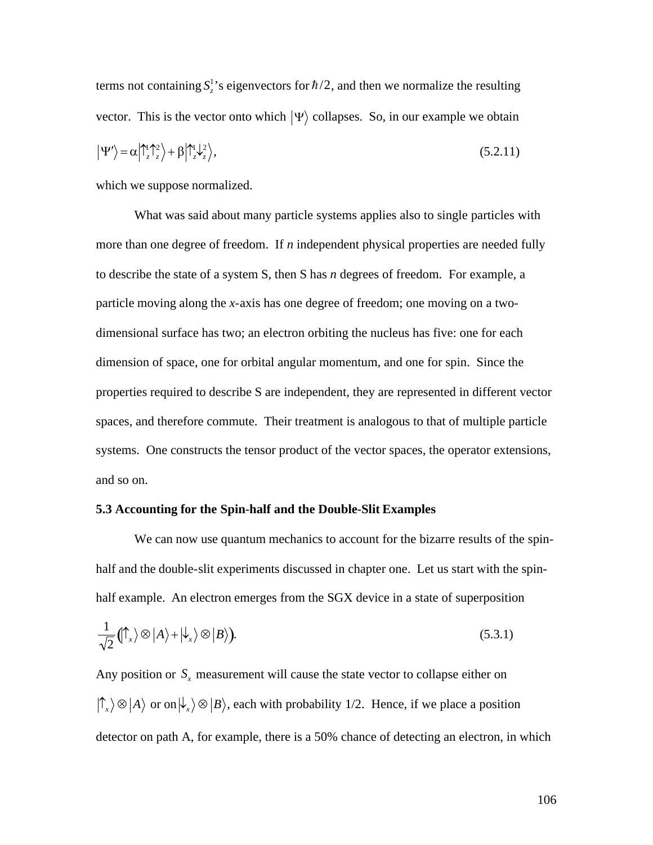terms not containing  $S^1_z$ 's eigenvectors for  $\hbar/2$ , and then we normalize the resulting  $|\Psi'\rangle = \alpha |\uparrow_z^1 \uparrow_z^2\rangle + \beta |\uparrow_z^1 \downarrow_z^2\rangle,$ vector. This is the vector onto which  $|\Psi\rangle$  collapses. So, in our example we obtain  $(5.2.11)$ 

which we suppose normalized.

What was said about many particle systems applies also to single particles with more than one degree of freedom.If *n* independent physical properties are needed fully to describe the state of a system S, then S has *n* degrees of freedom. For example, a particle moving along the *x*-axis has one degree of freedom; one moving on a twodimensional surface has two; an electron orbiting the nucleus has five: one for each dimension of space, one for orbital angular momentum, and one for spin. Since the properties required to describe S are independent, they are represented in different vector spaces, and therefore commute. Their treatment is analogous to that of multiple particle systems. One constructs the tensor product of the vector spaces, the operator extensions, and so on.

#### **5.3 Accounting for the Spin-half and the Double-Slit Examples**

We can now use quantum mechanics to account for the bizarre results of the spinhalf and the double-slit experiments discussed in chapter one. Let us start with the spinhalf example. An electron emerges from the SGX device in a state of superposition

$$
\frac{1}{\sqrt{2}} \left( \int_{-\infty}^{\infty} \langle \mathbf{A} \rangle + \langle \mathbf{L} \rangle \otimes | \mathbf{B} \rangle \right).
$$
 (5.3.1)

Any position or  $S<sub>x</sub>$  measurement will cause the state vector to collapse either on detector on path A, for example, there is a 50% chance of detecting an electron, in which  $\langle \hat{\Gamma}_x \rangle \otimes |A\rangle$  or on  $|\psi_x\rangle \otimes |B\rangle$ , each with probability 1/2. Hence, if we place a position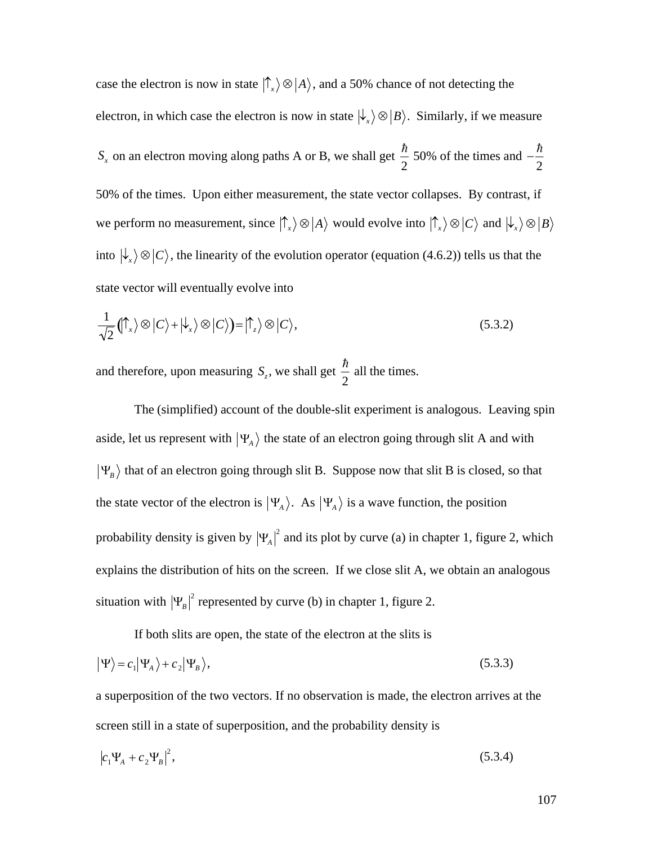case the electron is now in state  $|\uparrow_x\rangle \otimes |A\rangle$ , and a 50% chance of not detecting the electron, in which case the electron is now in state  $\ket{\downarrow_x} \otimes \ket{B}$ . Similarly, if we measure  $S_x$  on an electron moving along paths A or B, we shall get  $\frac{\hbar}{2}$  50% of we perform no measurement, since  $|\uparrow_x\rangle \otimes |A\rangle$  would evolve into  $|\uparrow_x\rangle \otimes |C\rangle$  and  $|\downarrow_x\rangle \otimes |B\rangle$ 2 50% of the times and  $-\frac{\hbar}{2}$ 2 50% of the times. Upon either measurement, the state vector collapses. By contrast, if  $\mathbf{r}^{\text{th}}$ into  $\ket{\downarrow_x} \otimes \ket{C}$ , the linearity of the evolution operator (equation (4.6.2)) tells us that the state vector will eventually evolve into

$$
\frac{1}{\sqrt{2}}(\!\!\uparrow_x\rangle\otimes|\!C\rangle+\big|\downarrow_x\rangle\otimes|\!C\rangle)=\big|\uparrow_z\rangle\otimes|\!C\rangle,\tag{5.3.2}
$$

and therefore, upon measuring  $S_z$ , we shall get  $\frac{\hbar}{2}$  all the time 2 all the times.

aside, let us represent with  $|\Psi_A\rangle$  the state of an electron going through slit A and with The (simplified) account of the double-slit experiment is analogous. Leaving spin the state vector of the electron is  $|\Psi_A\rangle$ . As  $|\Psi_A\rangle$  is a wave function, the position  $\Psi_B$  that of an electron going through slit B. Suppose now that slit B is closed, so that probability density is given by  $|\Psi_A|^2$  and its plot by curve (a) in chapter 1, figure 2, which situation with  $|\Psi_B|^2$  represented by curve (b) in chapter 1, figure 2. explains the distribution of hits on the screen. If we close slit A, we obtain an analogous

If both slits are open, the state of the electron at the slits is

$$
|\Psi\rangle = c_1 |\Psi_A\rangle + c_2 |\Psi_B\rangle, \tag{5.3.3}
$$

a superposition of the two vectors. If no observation is made, the electron arrives at the screen still in a state of superposition, and the probability density is

$$
|c_1\Psi_A + c_2\Psi_B|^2, \tag{5.3.4}
$$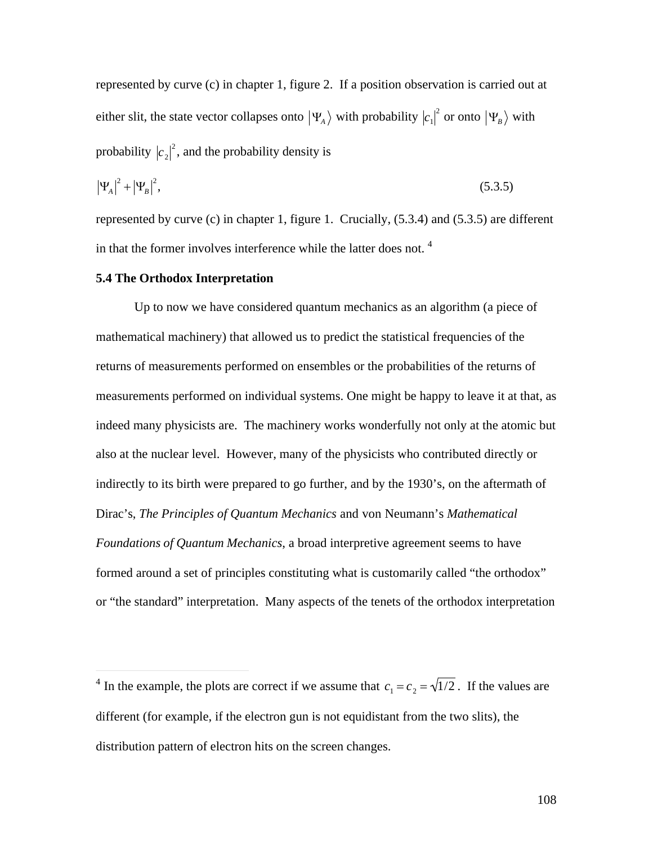represented by curve (c) in chapter 1, figure 2. If a position observation is carried out at either slit, the state vector collapses onto  $|\Psi_A\rangle$  with probability  $|c_1|^2$  or onto  $|\Psi_B\rangle$  with probability  $|c_2|^2$ , and the probability density is

$$
|\Psi_A|^2 + |\Psi_B|^2, \tag{5.3.5}
$$

represented by curve (c) in chapter 1, figure 1. Crucially, (5.3.4) and (5.3.5) are different in that the former involves interference while the latter does not. <sup>4</sup>

#### **5.4 The Orthodox Interpretation**

 $\overline{a}$ 

Up to now we have considered quantum mechanics as an algorithm (a piece of mathematical machinery) that allowed us to predict the statistical frequencies of the returns of measurements performed on ensembles or the probabilities of the returns of measurements performed on individual systems. One might be happy to leave it at that, as indeed many physicists are. The machinery works wonderfully not only at the atomic but also at the nuclear level. However, many of the physicists who contributed directly or indirectly to its birth were prepared to go further, and by the 1930's, on the aftermath of Dirac's, *The Principles of Quantum Mechanics* and von Neumann's *Mathematical Foundations of Quantum Mechanics*, a broad interpretive agreement seems to have formed around a set of principles constituting what is customarily called "the orthodox" or "the standard" interpretation. Many aspects of the tenets of the orthodox interpretation

<sup>&</sup>lt;sup>4</sup> In the example, the plots are correct if we assume that  $c_1 = c_2 = \sqrt{1/2}$ . If the values are distribution pattern of electron hits on the screen changes. different (for example, if the electron gun is not equidistant from the two slits), the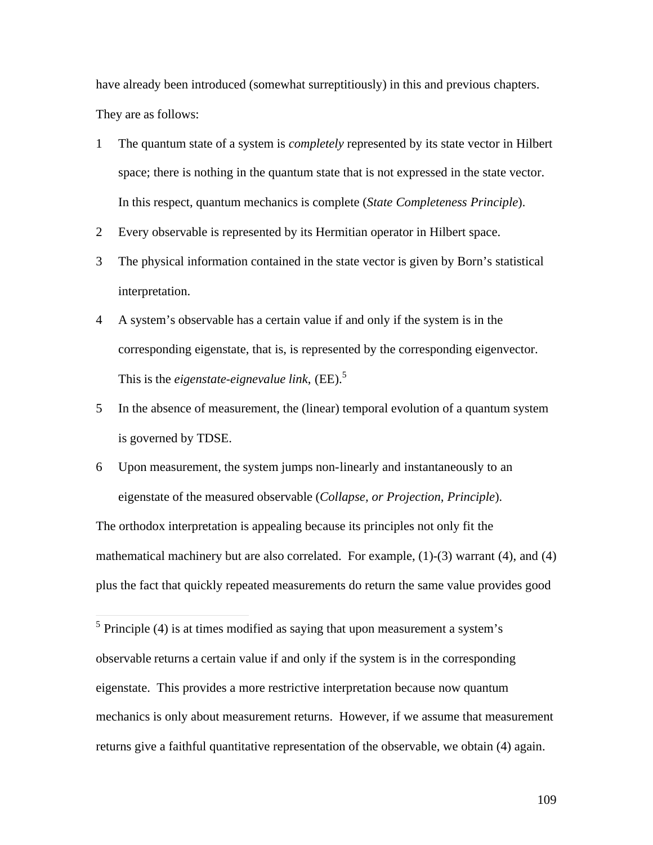have already been introduced (somewhat surreptitiously) in this and previous chapters. They are as follows:

- 1 The quantum state of a system is *completely* represented by its state vector in Hilbert space; there is nothing in the quantum state that is not expressed in the state vector. In this respect, quantum mechanics is complete (*State Completeness Principle*).
- 2 Every observable is represented by its Hermitian operator in Hilbert space.
- 3 The physical information contained in the state vector is given by Born's statistical interpretation.
- 4 A system's observable has a certain value if and only if the system is in the corresponding eigenstate, that is, is represented by the corresponding eigenvector. This is the *eigenstate-eignevalue link*, (EE).<sup>5</sup>
- 5 In the absence of measurement, the (linear) temporal evolution of a quantum system is governed by TDSE.
- 6 Upon measurement, the system jumps non-linearly and instantaneously to an eigenstate of the measured observable (*Collapse, or Projection, Principle*).

The orthodox interpretation is appealing because its principles not only fit the mathematical machinery but are also correlated. For example, (1)-(3) warrant (4), and (4) plus the fact that quickly repeated measurements do return the same value provides good

 $\overline{a}$ 

 $<sup>5</sup>$  Principle (4) is at times modified as saying that upon measurement a system's</sup> observable returns a certain value if and only if the system is in the corresponding eigenstate. This provides a more restrictive interpretation because now quantum mechanics is only about measurement returns. However, if we assume that measurement returns give a faithful quantitative representation of the observable, we obtain (4) again.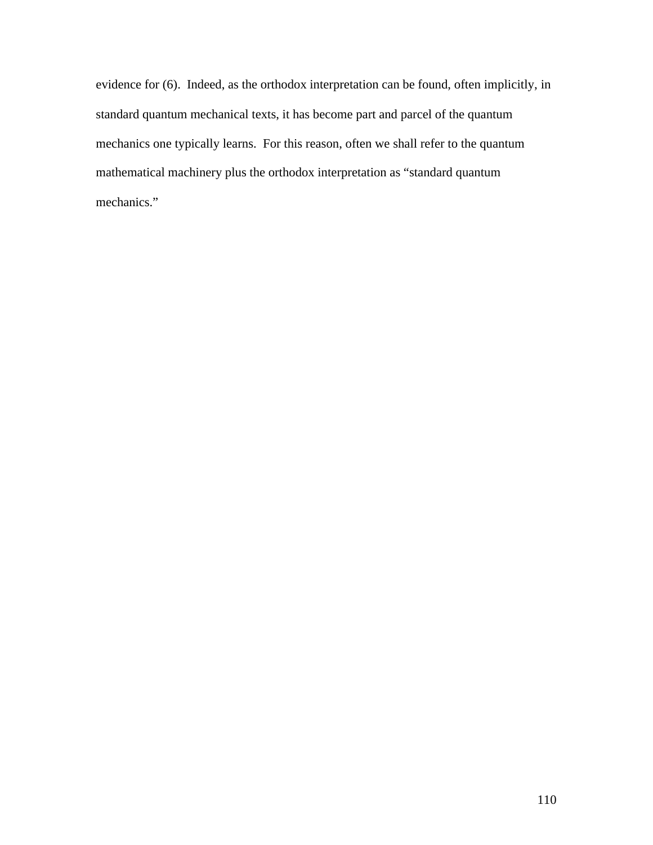evidence for (6). Indeed, as the orthodox interpretation can be found, often implicitly, in standard quantum mechanical texts, it has become part and parcel of the quantum mechanics one typically learns. For this reason, often we shall refer to the quantum mathematical machinery plus the orthodox interpretation as "standard quantum mechanics."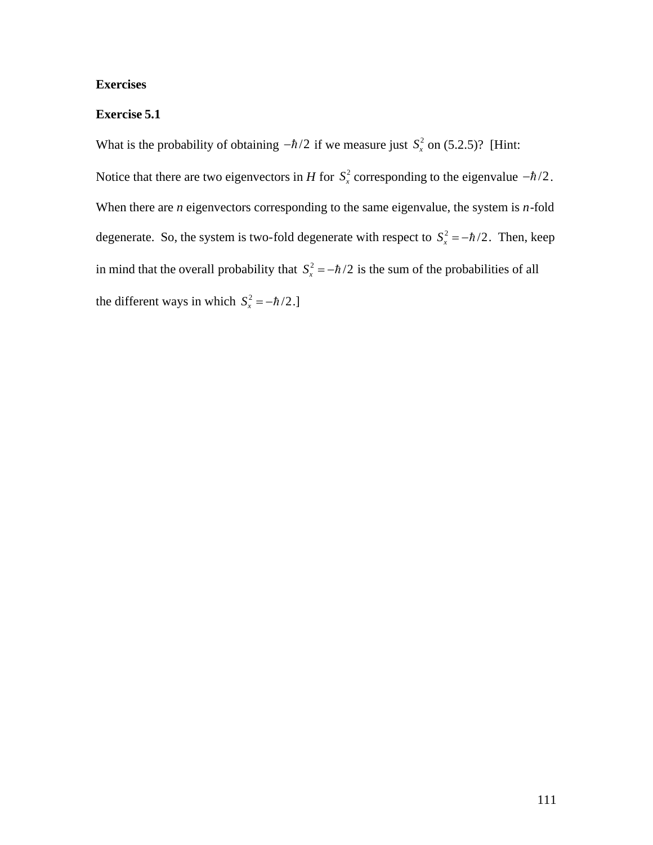## **Exercises**

## **Exercise 5.1**

What is the probability of obtaining  $-\hbar/2$  if we measure just  $S_x^2$  on (5.2.5)? [Hint: When there are *n* eigenvectors corresponding to the same eigenvalue, the system is *n*-fold Notice that there are two eigenvectors in *H* for  $S_x^2$  corresponding to the eigenvalue  $-\hbar/2$ . degenerate. So, the system is two-fold degenerate with respect to  $S_x^2 = -\hbar/2$ . Then, keep in mind that the overall probability that  $S_x^2 = -\hbar/2$  is the sum of the probabilities of all the different ways in which  $S_x^2 = -\hbar/2$ .]